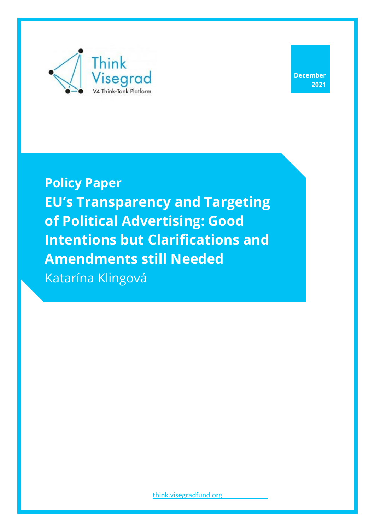

**December 2021**

**Policy Paper EU's Transparency and Targeting of Political Advertising: Good Intentions but Clarifications and Amendments still Needed** Katarína Klingová

[think.visegradfund.org](https://europeum.org/)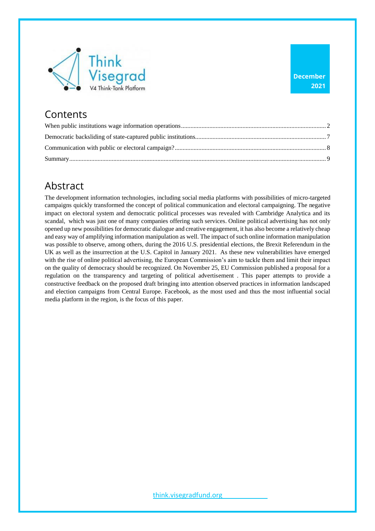

### **Contents**

# Abstract

The development information technologies, including social media platforms with possibilities of micro-targeted campaigns quickly transformed the concept of political communication and electoral campaigning. The negative impact on electoral system and democratic political processes was revealed with Cambridge Analytica and its scandal, which was just one of many companies offering such services. Online political advertising has not only opened up new possibilities for democratic dialogue and creative engagement, it has also become a relatively cheap and easy way of amplifying information manipulation as well. The impact of such online information manipulation was possible to observe, among others, during the 2016 U.S. presidential elections, the Brexit Referendum in the UK as well as the insurrection at the U.S. Capitol in January 2021. As these new vulnerabilities have emerged with the rise of online political advertising, the European Commission's aim to tackle them and limit their impact on the quality of democracy should be recognized. On November 25, EU Commission published a proposal for a regulation on the transparency and targeting of political advertisement . This paper attempts to provide a constructive feedback on the proposed draft bringing into attention observed practices in information landscaped and election campaigns from Central Europe. Facebook, as the most used and thus the most influential social media platform in the region, is the focus of this paper.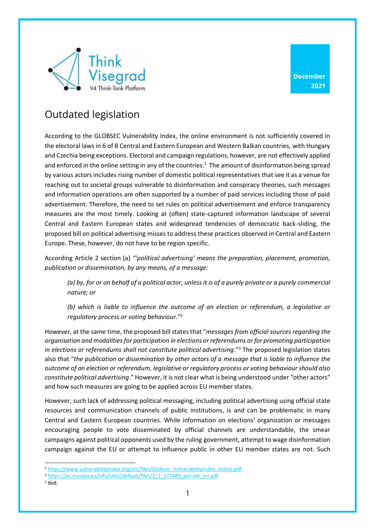

**December 2021**

# Outdated legislation

According to the GLOBSEC Vulnerability Index, the online environment is not sufficiently covered in the electoral laws in 6 of 8 Central and Eastern European and Western Balkan countries, with Hungary and Czechia being exceptions. Electoral and campaign regulations, however, are not effectively applied and enforced in the online setting in any of the countries.<sup>1</sup> The amount of disinformation being spread by various actors includes rising number of domestic political representatives that see it as a venue for reaching out to societal groups vulnerable to disinformation and conspiracy theories, such messages and information operations are often supported by a number of paid services including those of paid advertisement. Therefore, the need to set rules on political advertisement and enforce transparency measures are the most timely. Looking at (often) state-captured information landscape of several Central and Eastern European states and widespread tendencies of democratic back-sliding, the proposed bill on political advertising misses to address these practices observed in Central and Eastern Europe. These, however, do not have to be region specific.

According Article 2 section (a) *"'political advertising' means the preparation, placement, promotion, publication or dissemination, by any means, of a message:* 

*(a) by, for or on behalf of a political actor, unless it is of a purely private or a purely commercial nature; or* 

*(b) which is liable to influence the outcome of an election or referendum, a legislative or regulatory process or voting behaviour*."<sup>2</sup>

However, at the same time, the proposed bill states that "*messages from official sources regarding the organisation and modalities for participation in elections or referendums or for promoting participation in elections or referendums shall not constitute political advertising*."<sup>3</sup> The proposed legislation states also that "*the publication or dissemination by other actors of a message that is liable to influence the outcome of an election or referendum, legislative or regulatory process or voting behaviour should also constitute political advertising*." However, it is not clear what is being understood under "other actors" and how such measures are going to be applied across EU member states.

However, such lack of addressing political messaging, including political advertising using official state resources and communication channels of public institutions, is and can be problematic in many Central and Eastern European countries. While information on elections' organization or messages encouraging people to vote disseminated by official channels are understandable, the smear campaigns against political opponents used by the ruling government, attempt to wage disinformation campaign against the EU or attempt to influence public in other EU member states are not. Such

3 Ibid.

<sup>1</sup> [https://www.vulnerabilityindex.org/src/files/Globsec\\_VulnerabilityIndex\\_online.pdf](https://www.vulnerabilityindex.org/src/files/Globsec_VulnerabilityIndex_online.pdf)

<sup>2</sup> [https://ec.europa.eu/info/sites/default/files/2\\_1\\_177489\\_pol-ads\\_en.pdf](https://ec.europa.eu/info/sites/default/files/2_1_177489_pol-ads_en.pdf)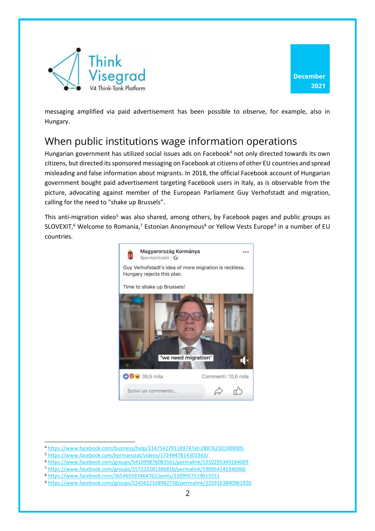



messaging amplified via paid advertisement has been possible to observe, for example, also in Hungary.

### <span id="page-3-0"></span>When public institutions wage information operations

Hungarian government has utilized social issues ads on Facebook<sup>4</sup> not only directed towards its own citizens, but directed its sponsored messaging on Facebook at citizens of other EU countries and spread misleading and false information about migrants. In 2018, the official Facebook account of Hungarian government bought paid advertisement targeting Facebook users in Italy, as is observable from the picture, advocating against member of the European Parliament Guy Verhofstadt and migration, calling for the need to "shake up Brussels".

This anti-migration video<sup>5</sup> was also shared, among others, by Facebook pages and public groups as SLOVEXIT,<sup>6</sup> Welcome to Romania,<sup>7</sup> Estonian Anonymous<sup>8</sup> or Yellow Vests Europe<sup>9</sup> in a number of EU countries.



<sup>4</sup> <https://www.facebook.com/business/help/214754279118974?id=288762101909005>

<sup>5</sup> <https://www.facebook.com/kormanyzat/videos/1724947814301363/>

<sup>6</sup> <https://www.facebook.com/groups/541099876083561/permalink/1010295349164009>

<sup>7</sup> <https://www.facebook.com/groups/257222281386816/permalink/590954141346960>

<sup>8</sup> <https://www.facebook.com/365465593464762/posts/2209957519015551>

<sup>9</sup> <https://www.facebook.com/groups/2245622328982738/permalink/2259163840961920>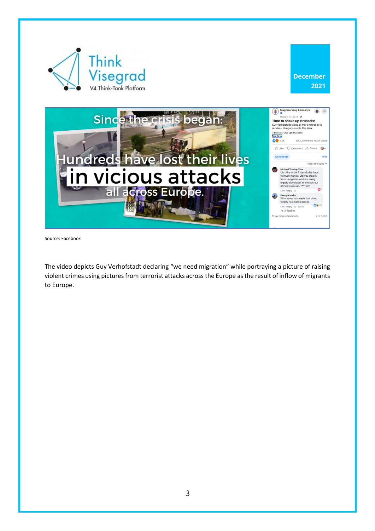

Source: Facebook

The video depicts Guy Verhofstadt declaring "we need migration" while portraying a picture of raising violent crimes using pictures from terrorist attacks across the Europe as the result of inflow of migrants to Europe.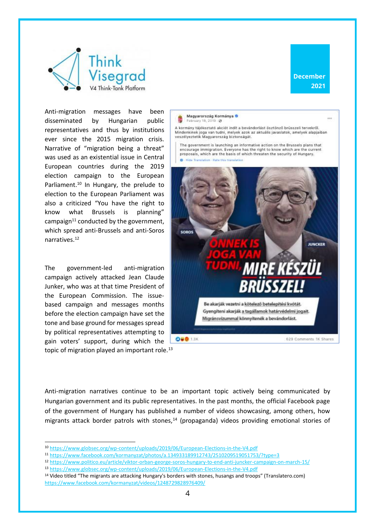



Anti-migration messages have been disseminated by Hungarian public representatives and thus by institutions ever since the 2015 migration crisis. Narrative of "migration being a threat" was used as an existential issue in Central European countries during the 2019 election campaign to the European Parliament.<sup>10</sup> In Hungary, the prelude to election to the European Parliament was also a criticized "You have the right to know what Brussels is planning" campaign $11$  conducted by the government, which spread anti-Brussels and anti-Soros narratives.<sup>12</sup>

The government-led anti-migration campaign actively attacked Jean Claude Junker, who was at that time President of the European Commission. The issuebased campaign and messages months before the election campaign have set the tone and base ground for messages spread by political representatives attempting to gain voters' support, during which the topic of migration played an important role.<sup>13</sup>



A kormány tájékoztató akciót indít a bevándorlást ösztönző brüsszeli tervekről. Mindenkinek joga van tudni, melyek azok az aktuális javaslatok, amelyek alapjaiban veszélyeztetik Magyarország biztonságát.

The government is launching an informative action on the Brussels plans that encourage immigration. Everyone has the right to know which are the current<br>proposals, which are the basis of which threaten the security of Hungary.  $\sim$ Histor Team on - Gata this translat



Anti-migration narratives continue to be an important topic actively being communicated by Hungarian government and its public representatives. In the past months, the official Facebook page of the government of Hungary has published a number of videos showcasing, among others, how migrants attack border patrols with stones,<sup>14</sup> (propaganda) videos providing emotional stories of

<sup>14</sup> Video titled "The migrants are attacking Hungary's borders with stones, husangs and troops" (Translatero.com) <https://www.facebook.com/kormanyzat/videos/1248729828976409/>

<sup>10</sup> <https://www.globsec.org/wp-content/uploads/2019/06/European-Elections-in-the-V4.pdf>

<sup>11</sup> <https://www.facebook.com/kormanyzat/photos/a.134933189912743/2510209519051753/?type=3>

<sup>12</sup> <https://www.politico.eu/article/viktor-orban-george-soros-hungary-to-end-anti-juncker-campaign-on-march-15/>

<sup>13</sup> <https://www.globsec.org/wp-content/uploads/2019/06/European-Elections-in-the-V4.pdf>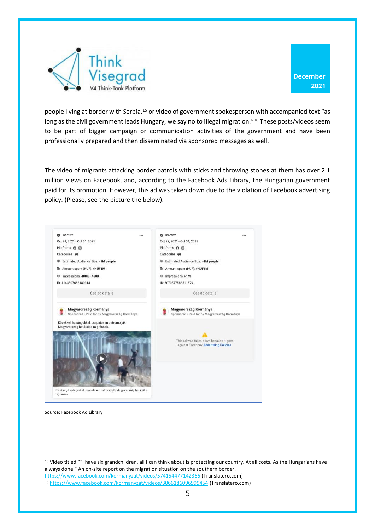



people living at border with Serbia,<sup>15</sup> or video of government spokesperson with accompanied text "as long as the civil government leads Hungary, we say no to illegal migration."<sup>16</sup> These posts/videos seem to be part of bigger campaign or communication activities of the government and have been professionally prepared and then disseminated via sponsored messages as well.

The video of migrants attacking border patrols with sticks and throwing stones at them has over 2.1 million views on Facebook, and, according to the Facebook Ads Library, the Hungarian government paid for its promotion. However, this ad was taken down due to the violation of Facebook advertising policy. (Please, see the picture the below).



Source: Facebook Ad Library

<sup>15</sup> Video titled ""I have six grandchildren, all I can think about is protecting our country. At all costs. As the Hungarians have always done." An on-site report on the migration situation on the southern border. <https://www.facebook.com/kormanyzat/videos/574154477142366> (Translatero.com) <sup>16</sup> <https://www.facebook.com/kormanyzat/videos/3066186096999454> (Translatero.com)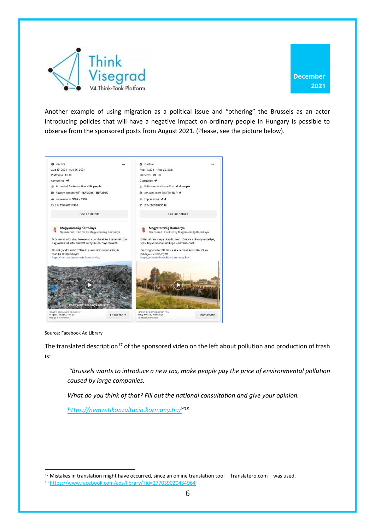

Another example of using migration as a political issue and "othering" the Brussels as an actor introducing policies that will have a negative impact on ordinary people in Hungary is possible to observe from the sponsored posts from August 2021. (Please, see the picture below).



Source: Facebook Ad Library

The translated description<sup>17</sup> of the sponsored video on the left about pollution and production of trash is:

*"Brussels wants to introduce a new tax, make people pay the price of environmental pollution caused by large companies.*

*What do you think of that? Fill out the national consultation and give your opinion.*

*<https://nemzetikonzultacio.kormany.hu/>" 18*

<sup>17</sup> Mistakes in translation might have occurred, since an online translation tool – Translatero.com – was used.

<sup>18</sup> <https://www.facebook.com/ads/library/?id=277039020434964>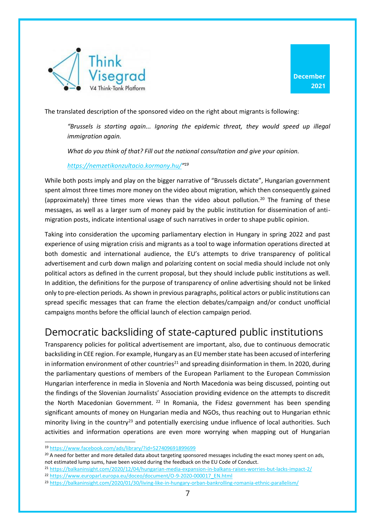



The translated description of the sponsored video on the right about migrants is following:

*"Brussels is starting again... Ignoring the epidemic threat, they would speed up illegal immigration again.*

*What do you think of that? Fill out the national consultation and give your opinion.*

*<https://nemzetikonzultacio.kormany.hu/>" 19*

While both posts imply and play on the bigger narrative of "Brussels dictate", Hungarian government spent almost three times more money on the video about migration, which then consequently gained (approximately) three times more views than the video about pollution.<sup>20</sup> The framing of these messages, as well as a larger sum of money paid by the public institution for dissemination of antimigration posts, indicate intentional usage of such narratives in order to shape public opinion.

Taking into consideration the upcoming parliamentary election in Hungary in spring 2022 and past experience of using migration crisis and migrants as a tool to wage information operations directed at both domestic and international audience, the EU's attempts to drive transparency of political advertisement and curb down malign and polarizing content on social media should include not only political actors as defined in the current proposal, but they should include public institutions as well. In addition, the definitions for the purpose of transparency of online advertising should not be linked only to pre-election periods. As shown in previous paragraphs, political actors or public institutions can spread specific messages that can frame the election debates/campaign and/or conduct unofficial campaigns months before the official launch of election campaign period.

# <span id="page-8-0"></span>Democratic backsliding of state-captured public institutions

Transparency policies for political advertisement are important, also, due to continuous democratic backsliding in CEE region. For example, Hungary as an EU member state has been accused of interfering in information environment of other countries<sup>21</sup> and spreading disinformation in them. In 2020, during the parliamentary questions of members of the European Parliament to the European Commission Hungarian interference in media in Slovenia and North Macedonia was being discussed, pointing out the findings of the Slovenian Journalists' Association providing evidence on the attempts to discredit the North Macedonian Government.  $22$  In Romania, the Fidesz government has been spending significant amounts of money on Hungarian media and NGOs, thus reaching out to Hungarian ethnic minority living in the country<sup>23</sup> and potentially exercising undue influence of local authorities. Such activities and information operations are even more worrying when mapping out of Hungarian

<sup>19</sup> <https://www.facebook.com/ads/library/?id=527409691899699>

<sup>&</sup>lt;sup>20</sup> A need for better and more detailed data about targeting sponsored messages including the exact money spent on ads, not estimated lump sums, have been voiced during the feedback on the EU Code of Conduct.

<sup>21</sup> <https://balkaninsight.com/2020/12/04/hungarian-media-expansion-in-balkans-raises-worries-but-lacks-impact-2/>

<sup>22</sup> [https://www.europarl.europa.eu/doceo/document/O-9-2020-000017\\_EN.html](https://www.europarl.europa.eu/doceo/document/O-9-2020-000017_EN.html)

<sup>23</sup> <https://balkaninsight.com/2020/01/30/living-like-in-hungary-orban-bankrolling-romania-ethnic-parallelism/>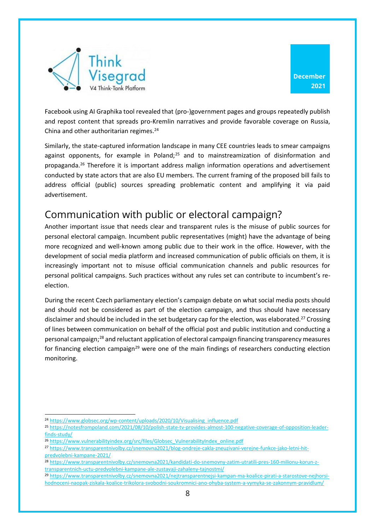



Facebook using AI Graphika tool revealed that (pro-)government pages and groups repeatedly publish and repost content that spreads pro-Kremlin narratives and provide favorable coverage on Russia, China and other authoritarian regimes. 24

Similarly, the state-captured information landscape in many CEE countries leads to smear campaigns against opponents, for example in Poland; $25$  and to mainstreamization of disinformation and propaganda.<sup>26</sup> Therefore it is important address malign information operations and advertisement conducted by state actors that are also EU members. The current framing of the proposed bill fails to address official (public) sources spreading problematic content and amplifying it via paid advertisement.

# <span id="page-9-0"></span>Communication with public or electoral campaign?

Another important issue that needs clear and transparent rules is the misuse of public sources for personal electoral campaign. Incumbent public representatives (might) have the advantage of being more recognized and well-known among public due to their work in the office. However, with the development of social media platform and increased communication of public officials on them, it is increasingly important not to misuse official communication channels and public resources for personal political campaigns. Such practices without any rules set can contribute to incumbent's reelection.

During the recent Czech parliamentary election's campaign debate on what social media posts should and should not be considered as part of the election campaign, and thus should have necessary disclaimer and should be included in the set budgetary cap for the election, was elaborated.<sup>27</sup> Crossing of lines between communication on behalf of the official post and public institution and conducting a personal campaign;<sup>28</sup> and reluctant application of electoral campaign financing transparency measures for financing election campaign<sup>29</sup> were one of the main findings of researchers conducting election monitoring.

- <sup>26</sup> [https://www.vulnerabilityindex.org/src/files/Globsec\\_VulnerabilityIndex\\_online.pdf](https://www.vulnerabilityindex.org/src/files/Globsec_VulnerabilityIndex_online.pdf)
- <sup>27</sup> [https://www.transparentnivolby.cz/snemovna2021/blog-ondreje-cakla-zneuzivani-verejne-funkce-jako-letni-hit](https://www.transparentnivolby.cz/snemovna2021/blog-ondreje-cakla-zneuzivani-verejne-funkce-jako-letni-hit-predvolebni-kampane-2021/)[predvolebni-kampane-2021/](https://www.transparentnivolby.cz/snemovna2021/blog-ondreje-cakla-zneuzivani-verejne-funkce-jako-letni-hit-predvolebni-kampane-2021/)
- <sup>28</sup> [https://www.transparentnivolby.cz/snemovna2021/kandidati-do-snemovny-zatim-utratili-pres-160-milionu-korun-z](https://www.transparentnivolby.cz/snemovna2021/kandidati-do-snemovny-zatim-utratili-pres-160-milionu-korun-z-transparentnich-uctu-predvolebni-kampane-ale-zustavaji-zahaleny-tajnostmi/)[transparentnich-uctu-predvolebni-kampane-ale-zustavaji-zahaleny-tajnostmi/](https://www.transparentnivolby.cz/snemovna2021/kandidati-do-snemovny-zatim-utratili-pres-160-milionu-korun-z-transparentnich-uctu-predvolebni-kampane-ale-zustavaji-zahaleny-tajnostmi/)
- <sup>29</sup> [https://www.transparentnivolby.cz/snemovna2021/nejtransparentnejsi-kampan-ma-koalice-pirati-a-starostove-nejhorsi](https://www.transparentnivolby.cz/snemovna2021/nejtransparentnejsi-kampan-ma-koalice-pirati-a-starostove-nejhorsi-hodnoceni-naopak-ziskala-koalice-trikolora-svobodni-soukromnici-ano-ohyba-system-a-vymyka-se-zakonnym-pravidlum/)[hodnoceni-naopak-ziskala-koalice-trikolora-svobodni-soukromnici-ano-ohyba-system-a-vymyka-se-zakonnym-pravidlum/](https://www.transparentnivolby.cz/snemovna2021/nejtransparentnejsi-kampan-ma-koalice-pirati-a-starostove-nejhorsi-hodnoceni-naopak-ziskala-koalice-trikolora-svobodni-soukromnici-ano-ohyba-system-a-vymyka-se-zakonnym-pravidlum/)

<sup>24</sup> [https://www.globsec.org/wp-content/uploads/2020/10/Visualising\\_influence.pdf](https://www.globsec.org/wp-content/uploads/2020/10/Visualising_influence.pdf)

<sup>25</sup> [https://notesfrompoland.com/2021/08/10/polish-state-tv-provides-almost-100-negative-coverage-of-opposition-leader](https://notesfrompoland.com/2021/08/10/polish-state-tv-provides-almost-100-negative-coverage-of-opposition-leader-finds-study/)[finds-study/](https://notesfrompoland.com/2021/08/10/polish-state-tv-provides-almost-100-negative-coverage-of-opposition-leader-finds-study/)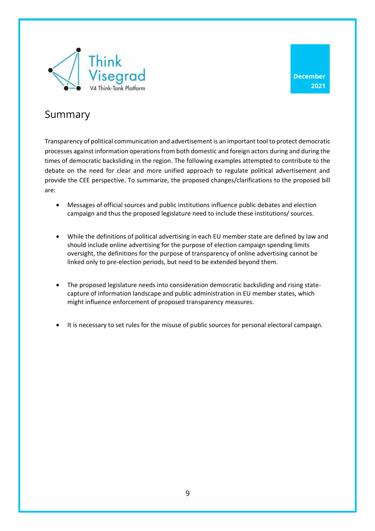

**December 2021**

### <span id="page-10-0"></span>Summary

Transparency of political communication and advertisement is an important tool to protect democratic processes against information operations from both domestic and foreign actors during and during the times of democratic backsliding in the region. The following examples attempted to contribute to the debate on the need for clear and more unified approach to regulate political advertisement and provide the CEE perspective. To summarize, the proposed changes/clarifications to the proposed bill are:

- Messages of official sources and public institutions influence public debates and election campaign and thus the proposed legislature need to include these institutions/ sources.
- While the definitions of political advertising in each EU member state are defined by law and should include online advertising for the purpose of election campaign spending limits oversight, the definitions for the purpose of transparency of online advertising cannot be linked only to pre-election periods, but need to be extended beyond them.
- The proposed legislature needs into consideration democratic backsliding and rising statecapture of information landscape and public administration in EU member states, which might influence enforcement of proposed transparency measures.
- It is necessary to set rules for the misuse of public sources for personal electoral campaign.